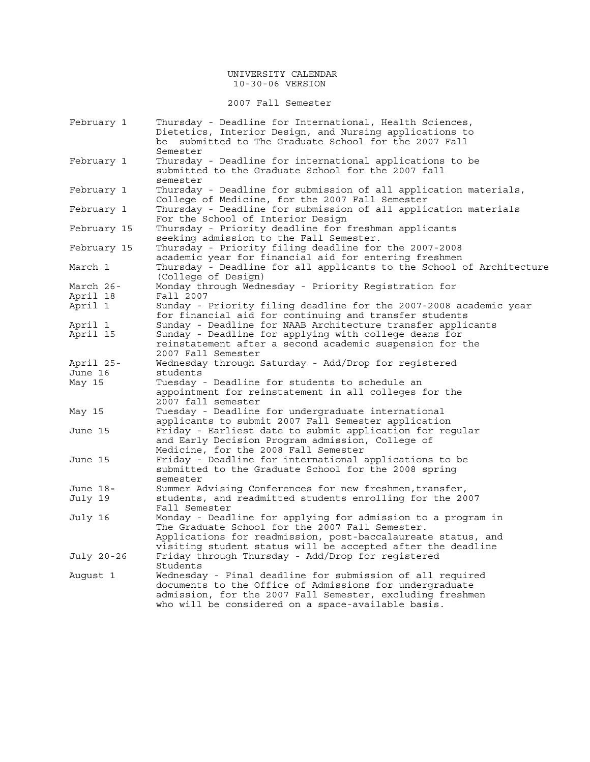### UNIVERSITY CALENDAR 10-30-06 VERSION

### 2007 Fall Semester

| February 1  | Thursday - Deadline for International, Health Sciences,<br>Dietetics, Interior Design, and Nursing applications to |  |
|-------------|--------------------------------------------------------------------------------------------------------------------|--|
|             | be submitted to The Graduate School for the 2007 Fall                                                              |  |
|             | Semester                                                                                                           |  |
| February 1  | Thursday - Deadline for international applications to be                                                           |  |
|             | submitted to the Graduate School for the 2007 fall                                                                 |  |
|             | semester                                                                                                           |  |
| February 1  | Thursday - Deadline for submission of all application materials,                                                   |  |
|             | College of Medicine, for the 2007 Fall Semester                                                                    |  |
| February 1  | Thursday - Deadline for submission of all application materials                                                    |  |
|             | For the School of Interior Design                                                                                  |  |
| February 15 | Thursday - Priority deadline for freshman applicants                                                               |  |
|             | seeking admission to the Fall Semester.                                                                            |  |
| February 15 | Thursday - Priority filing deadline for the 2007-2008                                                              |  |
|             | academic year for financial aid for entering freshmen                                                              |  |
| March 1     | Thursday - Deadline for all applicants to the School of Architecture                                               |  |
|             | (College of Design)                                                                                                |  |
| March 26-   | Monday through Wednesday - Priority Registration for                                                               |  |
| April 18    | Fall 2007                                                                                                          |  |
| April 1     | Sunday - Priority filing deadline for the 2007-2008 academic year                                                  |  |
|             | for financial aid for continuing and transfer students                                                             |  |
| April 1     | Sunday - Deadline for NAAB Architecture transfer applicants                                                        |  |
| April 15    | Sunday - Deadline for applying with college deans for                                                              |  |
|             | reinstatement after a second academic suspension for the                                                           |  |
|             | 2007 Fall Semester                                                                                                 |  |
| April 25-   | Wednesday through Saturday - Add/Drop for registered                                                               |  |
| June 16     | students                                                                                                           |  |
| May 15      | Tuesday - Deadline for students to schedule an                                                                     |  |
|             | appointment for reinstatement in all colleges for the                                                              |  |
|             | 2007 fall semester<br>Tuesday - Deadline for undergraduate international                                           |  |
| May 15      | applicants to submit 2007 Fall Semester application                                                                |  |
| June 15     | Friday - Earliest date to submit application for reqular                                                           |  |
|             | and Early Decision Program admission, College of                                                                   |  |
|             | Medicine, for the 2008 Fall Semester                                                                               |  |
| June 15     | Friday - Deadline for international applications to be                                                             |  |
|             | submitted to the Graduate School for the 2008 spring                                                               |  |
|             | semester                                                                                                           |  |
| June 18-    | Summer Advising Conferences for new freshmen, transfer,                                                            |  |
| July 19     | students, and readmitted students enrolling for the 2007                                                           |  |
|             | Fall Semester                                                                                                      |  |
| July 16     | Monday - Deadline for applying for admission to a program in                                                       |  |
|             | The Graduate School for the 2007 Fall Semester.                                                                    |  |
|             | Applications for readmission, post-baccalaureate status, and                                                       |  |
|             | visiting student status will be accepted after the deadline                                                        |  |
| July 20-26  | Friday through Thursday - Add/Drop for registered                                                                  |  |
|             | Students                                                                                                           |  |
| August 1    | Wednesday - Final deadline for submission of all required                                                          |  |
|             | documents to the Office of Admissions for undergraduate                                                            |  |
|             | admission, for the 2007 Fall Semester, excluding freshmen                                                          |  |
|             | who will be considered on a space-available basis.                                                                 |  |
|             |                                                                                                                    |  |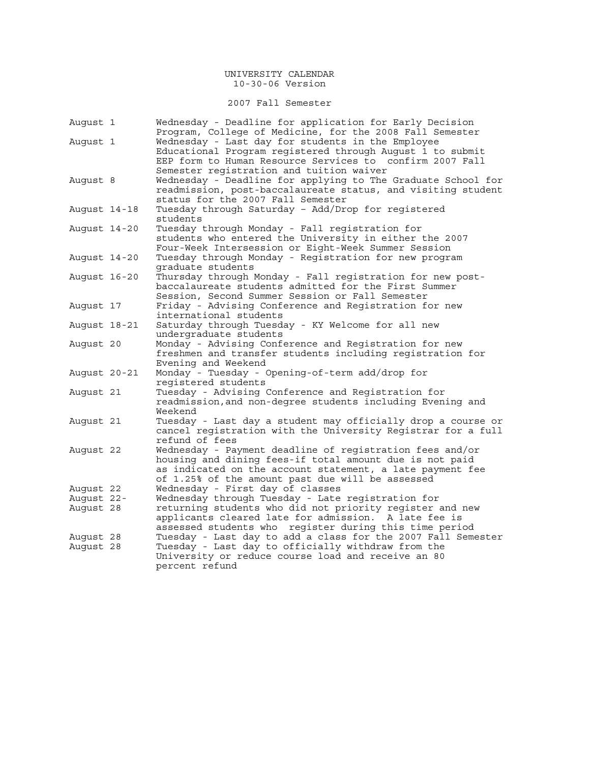2007 Fall Semester

| August 1     | Wednesday - Deadline for application for Early Decision      |
|--------------|--------------------------------------------------------------|
|              | Program, College of Medicine, for the 2008 Fall Semester     |
| August 1     | Wednesday - Last day for students in the Employee            |
|              | Educational Program registered through August 1 to submit    |
|              | EEP form to Human Resource Services to confirm 2007 Fall     |
|              | Semester registration and tuition waiver                     |
| August 8     | Wednesday - Deadline for applying to The Graduate School for |
|              | readmission, post-baccalaureate status, and visiting student |
|              | status for the 2007 Fall Semester                            |
| August 14-18 | Tuesday through Saturday - Add/Drop for registered           |
|              | students                                                     |
| August 14-20 | Tuesday through Monday - Fall registration for               |
|              | students who entered the University in either the 2007       |
|              | Four-Week Intersession or Eight-Week Summer Session          |
| August 14-20 | Tuesday through Monday - Registration for new program        |
|              | graduate students                                            |
| August 16-20 | Thursday through Monday - Fall registration for new post-    |
|              | baccalaureate students admitted for the First Summer         |
|              | Session, Second Summer Session or Fall Semester              |
| August 17    | Friday - Advising Conference and Registration for new        |
|              | international students                                       |
| August 18-21 | Saturday through Tuesday - KY Welcome for all new            |
|              | undergraduate students                                       |
| August 20    | Monday - Advising Conference and Registration for new        |
|              | freshmen and transfer students including registration for    |
|              | Evening and Weekend                                          |
| August 20-21 | Monday - Tuesday - Opening-of-term add/drop for              |
|              | registered students                                          |
| August 21    | Tuesday - Advising Conference and Registration for           |
|              | readmission, and non-degree students including Evening and   |
|              | Weekend                                                      |
| Auqust 21    | Tuesday - Last day a student may officially drop a course or |
|              | cancel registration with the University Registrar for a full |
|              | refund of fees                                               |
| August 22    | Wednesday - Payment deadline of registration fees and/or     |
|              | housing and dining fees-if total amount due is not paid      |
|              | as indicated on the account statement, a late payment fee    |
|              | of 1.25% of the amount past due will be assessed             |
| August 22    | Wednesday - First day of classes                             |
| August 22-   | Wednesday through Tuesday - Late registration for            |
| Auqust 28    | returning students who did not priority register and new     |
|              | applicants cleared late for admission. A late fee is         |
|              | assessed students who register during this time period       |
| August 28    | Tuesday - Last day to add a class for the 2007 Fall Semester |
| August 28    | Tuesday - Last day to officially withdraw from the           |
|              | University or reduce course load and receive an 80           |
|              | percent refund                                               |
|              |                                                              |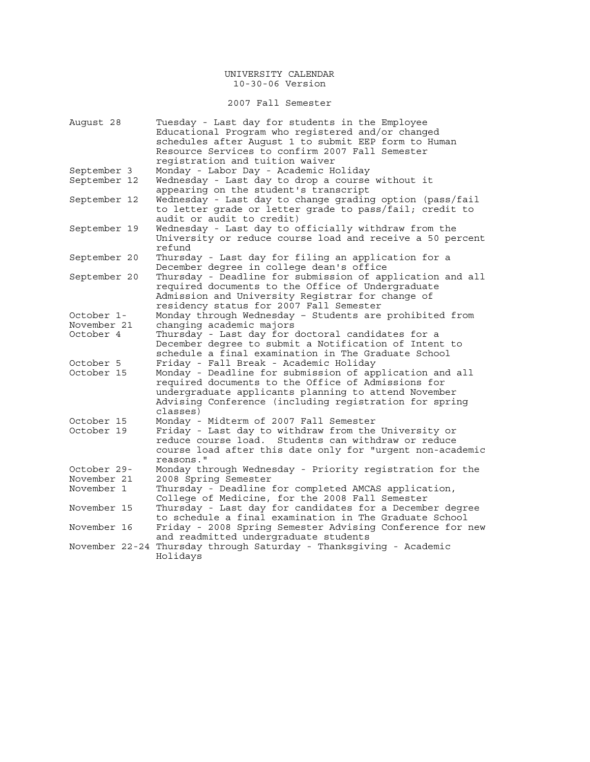## 2007 Fall Semester

| August 28    | Tuesday - Last day for students in the Employee<br>Educational Program who registered and/or changed |  |  |  |  |  |
|--------------|------------------------------------------------------------------------------------------------------|--|--|--|--|--|
|              | schedules after August 1 to submit EEP form to Human                                                 |  |  |  |  |  |
|              | Resource Services to confirm 2007 Fall Semester                                                      |  |  |  |  |  |
|              |                                                                                                      |  |  |  |  |  |
|              | registration and tuition waiver                                                                      |  |  |  |  |  |
| September 3  | Monday - Labor Day - Academic Holiday                                                                |  |  |  |  |  |
| September 12 | Wednesday - Last day to drop a course without it<br>appearing on the student's transcript            |  |  |  |  |  |
| September 12 | Wednesday - Last day to change grading option (pass/fail                                             |  |  |  |  |  |
|              | to letter grade or letter grade to pass/fail; credit to<br>audit or audit to credit)                 |  |  |  |  |  |
| September 19 | Wednesday - Last day to officially withdraw from the                                                 |  |  |  |  |  |
|              | University or reduce course load and receive a 50 percent                                            |  |  |  |  |  |
|              | refund                                                                                               |  |  |  |  |  |
| September 20 | Thursday - Last day for filing an application for a                                                  |  |  |  |  |  |
|              | December degree in college dean's office                                                             |  |  |  |  |  |
| September 20 | Thursday - Deadline for submission of application and all                                            |  |  |  |  |  |
|              | required documents to the Office of Undergraduate                                                    |  |  |  |  |  |
|              | Admission and University Registrar for change of                                                     |  |  |  |  |  |
|              | residency status for 2007 Fall Semester                                                              |  |  |  |  |  |
| October 1-   | Monday through Wednesday - Students are prohibited from                                              |  |  |  |  |  |
| November 21  | changing academic majors                                                                             |  |  |  |  |  |
| October 4    | Thursday - Last day for doctoral candidates for a                                                    |  |  |  |  |  |
|              | December degree to submit a Notification of Intent to                                                |  |  |  |  |  |
|              | schedule a final examination in The Graduate School                                                  |  |  |  |  |  |
| October 5    | Friday - Fall Break - Academic Holiday                                                               |  |  |  |  |  |
| October 15   | Monday - Deadline for submission of application and all                                              |  |  |  |  |  |
|              | required documents to the Office of Admissions for                                                   |  |  |  |  |  |
|              | undergraduate applicants planning to attend November                                                 |  |  |  |  |  |
|              | Advising Conference (including registration for spring                                               |  |  |  |  |  |
|              | classes)                                                                                             |  |  |  |  |  |
| October 15   | Monday - Midterm of 2007 Fall Semester                                                               |  |  |  |  |  |
| October 19   | Friday - Last day to withdraw from the University or                                                 |  |  |  |  |  |
|              | reduce course load. Students can withdraw or reduce                                                  |  |  |  |  |  |
|              | course load after this date only for "urgent non-academic                                            |  |  |  |  |  |
|              | reasons."                                                                                            |  |  |  |  |  |
| October 29-  | Monday through Wednesday - Priority registration for the                                             |  |  |  |  |  |
| November 21  | 2008 Spring Semester                                                                                 |  |  |  |  |  |
| November 1   | Thursday - Deadline for completed AMCAS application,                                                 |  |  |  |  |  |
|              | College of Medicine, for the 2008 Fall Semester                                                      |  |  |  |  |  |
| November 15  | Thursday - Last day for candidates for a December degree                                             |  |  |  |  |  |
|              | to schedule a final examination in The Graduate School                                               |  |  |  |  |  |
| November 16  | Friday - 2008 Spring Semester Advising Conference for new                                            |  |  |  |  |  |
|              | and readmitted undergraduate students                                                                |  |  |  |  |  |
|              | November 22-24 Thursday through Saturday - Thanksgiving - Academic<br>Holidays                       |  |  |  |  |  |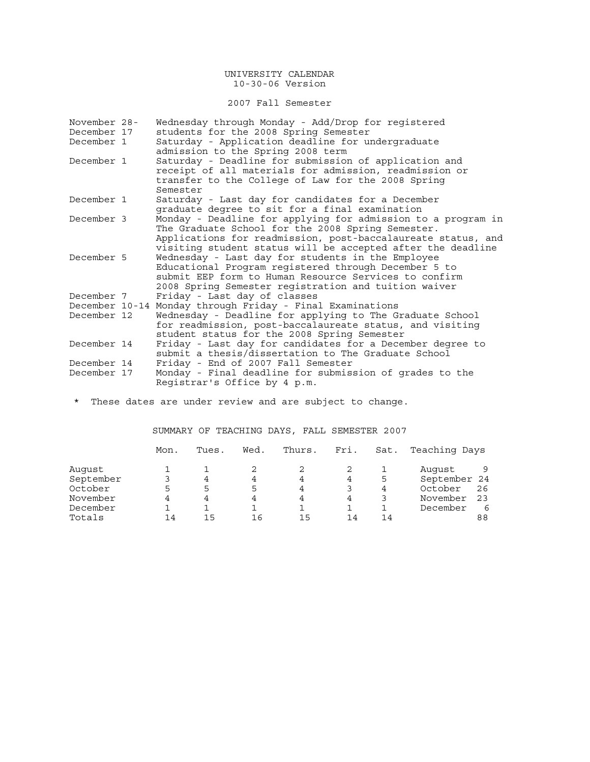2007 Fall Semester

| November 28- | Wednesday through Monday - Add/Drop for registered           |
|--------------|--------------------------------------------------------------|
| December 17  | students for the 2008 Spring Semester                        |
| December 1   | Saturday - Application deadline for undergraduate            |
|              | admission to the Spring 2008 term                            |
| December 1   | Saturday - Deadline for submission of application and        |
|              | receipt of all materials for admission, readmission or       |
|              | transfer to the College of Law for the 2008 Spring           |
|              | Semester                                                     |
| December 1   | Saturday - Last day for candidates for a December            |
|              | graduate degree to sit for a final examination               |
| December 3   | Monday - Deadline for applying for admission to a program in |
|              | The Graduate School for the 2008 Spring Semester.            |
|              | Applications for readmission, post-baccalaureate status, and |
|              | visiting student status will be accepted after the deadline  |
| December 5   | Wednesday - Last day for students in the Employee            |
|              | Educational Program registered through December 5 to         |
|              | submit EEP form to Human Resource Services to confirm        |
|              | 2008 Spring Semester registration and tuition waiver         |
| December 7   | Friday - Last day of classes                                 |
|              | December 10-14 Monday through Friday - Final Examinations    |
| December 12  | Wednesday - Deadline for applying to The Graduate School     |
|              | for readmission, post-baccalaureate status, and visiting     |
|              | student status for the 2008 Spring Semester                  |
| December 14  | Friday - Last day for candidates for a December degree to    |
|              | submit a thesis/dissertation to The Graduate School          |
| December 14  | Friday - End of 2007 Fall Semester                           |
| December 17  | Monday - Final deadline for submission of grades to the      |
|              | Registrar's Office by 4 p.m.                                 |

\* These dates are under review and are subject to change.

SUMMARY OF TEACHING DAYS, FALL SEMESTER 2007

|           | Mon. | Tues. | Wed. | Thurs. | Fri. | Sat. | Teaching Days |    |
|-----------|------|-------|------|--------|------|------|---------------|----|
| Auqust    |      |       |      |        |      |      | August        |    |
| September |      |       | 4    | 4      |      | 5    | September 24  |    |
| October   |      | 5     | 5    | 4      |      | 4    | October       | 26 |
| November  |      |       | 4    | 4      |      |      | November      | 23 |
| December  |      |       |      |        |      |      | December      |    |
| Totals    | 14   | 15    | 1 6  | 1 5    | 14   | 14   |               | 88 |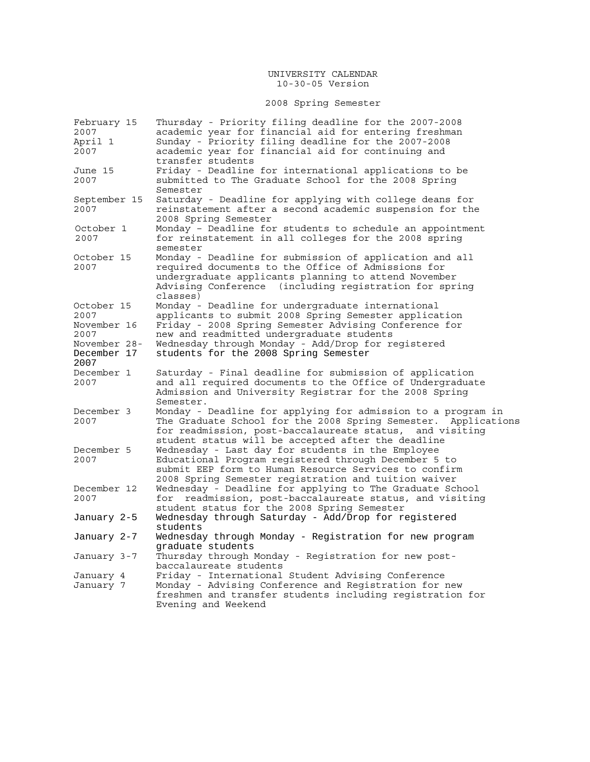# 2008 Spring Semester

| February 15  | Thursday - Priority filing deadline for the 2007-2008            |
|--------------|------------------------------------------------------------------|
| 2007         | academic year for financial aid for entering freshman            |
| April 1      | Sunday - Priority filing deadline for the 2007-2008              |
| 2007         | academic year for financial aid for continuing and               |
|              | transfer students                                                |
| June 15      | Friday - Deadline for international applications to be           |
| 2007         | submitted to The Graduate School for the 2008 Spring             |
|              | Semester                                                         |
|              |                                                                  |
| September 15 | Saturday - Deadline for applying with college deans for          |
| 2007         | reinstatement after a second academic suspension for the         |
|              | 2008 Spring Semester                                             |
| October 1    | Monday - Deadline for students to schedule an appointment        |
| 2007         | for reinstatement in all colleges for the 2008 spring            |
|              | semester                                                         |
| October 15   | Monday - Deadline for submission of application and all          |
| 2007         | required documents to the Office of Admissions for               |
|              | undergraduate applicants planning to attend November             |
|              | Advising Conference (including registration for spring           |
|              | classes)                                                         |
| October 15   |                                                                  |
| 2007         | Monday - Deadline for undergraduate international                |
|              | applicants to submit 2008 Spring Semester application            |
| November 16  | Friday - 2008 Spring Semester Advising Conference for            |
| 2007         | new and readmitted undergraduate students                        |
| November 28- | Wednesday through Monday - Add/Drop for registered               |
| December 17  | students for the 2008 Spring Semester                            |
|              |                                                                  |
| 2007         |                                                                  |
| December 1   | Saturday - Final deadline for submission of application          |
| 2007         | and all required documents to the Office of Undergraduate        |
|              |                                                                  |
|              | Admission and University Registrar for the 2008 Spring           |
|              | Semester.                                                        |
| December 3   | Monday - Deadline for applying for admission to a program in     |
| 2007         | The Graduate School for the 2008 Spring Semester. Applications   |
|              | for readmission, post-baccalaureate status, and visiting         |
|              | student status will be accepted after the deadline               |
| December 5   | Wednesday - Last day for students in the Employee                |
| 2007         | Educational Program registered through December 5 to             |
|              | submit EEP form to Human Resource Services to confirm            |
|              | 2008 Spring Semester registration and tuition waiver             |
| December 12  | Wednesday - Deadline for applying to The Graduate School         |
| 2007         | readmission, post-baccalaureate status, and visiting<br>for      |
|              | student status for the 2008 Spring Semester                      |
|              |                                                                  |
| January 2-5  | Wednesday through Saturday - Add/Drop for registered<br>students |
|              |                                                                  |
| January 2-7  | Wednesday through Monday - Registration for new program          |
|              | graduate students                                                |
| January 3-7  | Thursday through Monday - Registration for new post-             |
|              | baccalaureate students                                           |
| January 4    | Friday - International Student Advising Conference               |
| January 7    | Monday - Advising Conference and Registration for new            |
|              | freshmen and transfer students including registration for        |
|              | Evening and Weekend                                              |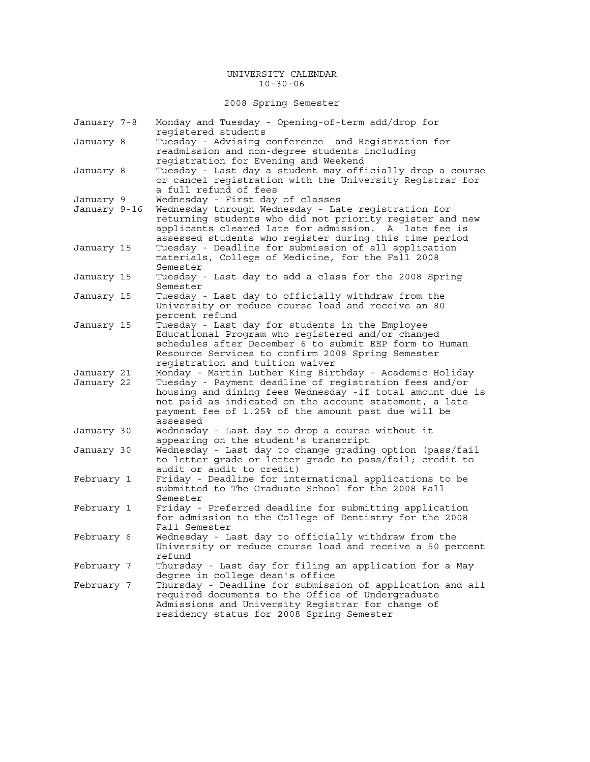#### UNIVERSITY CALENDAR 10-30-06

2008 Spring Semester

| January 7-8              | Monday and Tuesday - Opening-of-term add/drop for<br>reqistered students                                                                                                                                                                                                                                    |
|--------------------------|-------------------------------------------------------------------------------------------------------------------------------------------------------------------------------------------------------------------------------------------------------------------------------------------------------------|
| January 8                | Tuesday - Advising conference and Registration for<br>readmission and non-degree students including<br>registration for Evening and Weekend                                                                                                                                                                 |
| January 8                | Tuesday - Last day a student may officially drop a course<br>or cancel registration with the University Registrar for<br>a full refund of fees                                                                                                                                                              |
| January 9                | Wednesday - First day of classes                                                                                                                                                                                                                                                                            |
| January 9-16             | Wednesday through Wednesday - Late registration for<br>returning students who did not priority register and new<br>applicants cleared late for admission. A late fee is<br>assessed students who register during this time period                                                                           |
| January 15               | Tuesday - Deadline for submission of all application<br>materials, College of Medicine, for the Fall 2008<br>Semester                                                                                                                                                                                       |
| January 15               | Tuesday - Last day to add a class for the 2008 Spring<br>Semester                                                                                                                                                                                                                                           |
| January 15               | Tuesday - Last day to officially withdraw from the<br>University or reduce course load and receive an 80<br>percent refund                                                                                                                                                                                  |
| January 15               | Tuesday - Last day for students in the Employee<br>Educational Program who registered and/or changed<br>schedules after December 6 to submit EEP form to Human<br>Resource Services to confirm 2008 Spring Semester<br>registration and tuition waiver                                                      |
| January 21<br>January 22 | Monday - Martin Luther King Birthday - Academic Holiday<br>Tuesday - Payment deadline of registration fees and/or<br>housing and dining fees Wednesday -if total amount due is<br>not paid as indicated on the account statement, a late<br>payment fee of 1.25% of the amount past due will be<br>assessed |
| January 30               | Wednesday - Last day to drop a course without it<br>appearing on the student's transcript                                                                                                                                                                                                                   |
| January 30               | Wednesday - Last day to change grading option (pass/fail<br>to letter grade or letter grade to pass/fail; credit to<br>audit or audit to credit)                                                                                                                                                            |
| February 1               | Friday - Deadline for international applications to be<br>submitted to The Graduate School for the 2008 Fall<br>Semester                                                                                                                                                                                    |
| February 1               | Friday - Preferred deadline for submitting application<br>for admission to the College of Dentistry for the 2008<br>Fall Semester                                                                                                                                                                           |
| February 6               | Wednesday - Last day to officially withdraw from the<br>University or reduce course load and receive a 50 percent<br>refund                                                                                                                                                                                 |
| February 7               | Thursday - Last day for filing an application for a May<br>degree in college dean's office                                                                                                                                                                                                                  |
| February 7               | Thursday - Deadline for submission of application and all<br>required documents to the Office of Undergraduate<br>Admissions and University Registrar for change of<br>residency status for 2008 Spring Semester                                                                                            |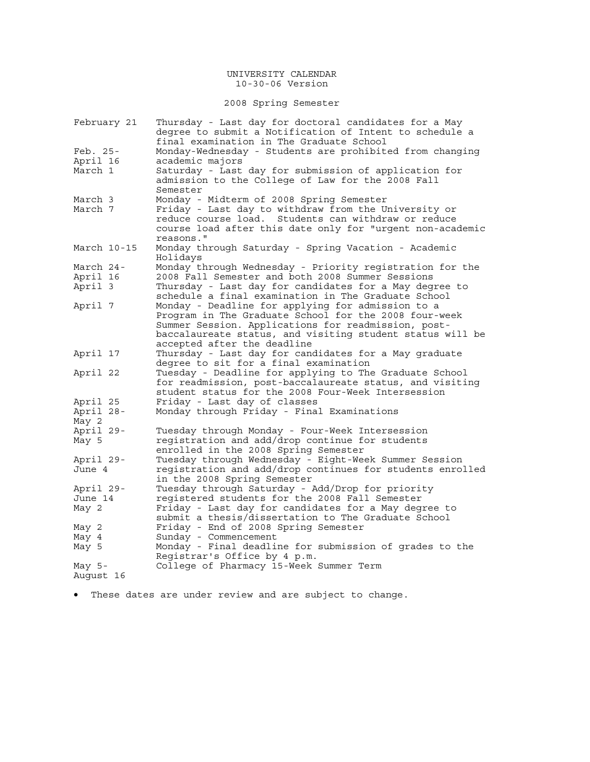2008 Spring Semester

| February 21 | Thursday - Last day for doctoral candidates for a May<br>degree to submit a Notification of Intent to schedule a |
|-------------|------------------------------------------------------------------------------------------------------------------|
|             | final examination in The Graduate School                                                                         |
| Feb. 25-    | Monday-Wednesday - Students are prohibited from changing                                                         |
| April 16    | academic majors                                                                                                  |
| March 1     | Saturday - Last day for submission of application for                                                            |
|             | admission to the College of Law for the 2008 Fall                                                                |
|             | Semester                                                                                                         |
| March 3     | Monday - Midterm of 2008 Spring Semester                                                                         |
| March 7     | Friday - Last day to withdraw from the University or<br>reduce course load. Students can withdraw or reduce      |
|             |                                                                                                                  |
|             | course load after this date only for "urgent non-academic<br>reasons."                                           |
| March 10-15 | Monday through Saturday - Spring Vacation - Academic                                                             |
|             | Holidays                                                                                                         |
| March 24-   | Monday through Wednesday - Priority registration for the                                                         |
| April 16    | 2008 Fall Semester and both 2008 Summer Sessions                                                                 |
| April 3     | Thursday - Last day for candidates for a May degree to                                                           |
|             | schedule a final examination in The Graduate School                                                              |
| April 7     | Monday - Deadline for applying for admission to a                                                                |
|             | Program in The Graduate School for the 2008 four-week                                                            |
|             | Summer Session. Applications for readmission, post-                                                              |
|             | baccalaureate status, and visiting student status will be                                                        |
|             | accepted after the deadline                                                                                      |
| April 17    | Thursday - Last day for candidates for a May graduate                                                            |
|             | degree to sit for a final examination                                                                            |
| April 22    | Tuesday - Deadline for applying to The Graduate School                                                           |
|             | for readmission, post-baccalaureate status, and visiting                                                         |
|             | student status for the 2008 Four-Week Intersession                                                               |
| April 25    | Friday - Last day of classes                                                                                     |
| April 28-   | Monday through Friday - Final Examinations                                                                       |
| May 2       |                                                                                                                  |
| April 29-   | Tuesday through Monday - Four-Week Intersession                                                                  |
| May 5       | registration and add/drop continue for students                                                                  |
|             | enrolled in the 2008 Spring Semester                                                                             |
| April 29-   | Tuesday through Wednesday - Eight-Week Summer Session                                                            |
| June 4      | registration and add/drop continues for students enrolled                                                        |
|             | in the 2008 Spring Semester                                                                                      |
| April 29-   | Tuesday through Saturday - Add/Drop for priority                                                                 |
| June 14     | registered students for the 2008 Fall Semester                                                                   |
| May 2       | Friday - Last day for candidates for a May degree to                                                             |
|             | submit a thesis/dissertation to The Graduate School                                                              |
| May 2       | Friday - End of 2008 Spring Semester                                                                             |
| May 4       | Sunday - Commencement<br>Monday - Final deadline for submission of grades to the                                 |
| May 5       | Registrar's Office by 4 p.m.                                                                                     |
| May $5-$    | College of Pharmacy 15-Week Summer Term                                                                          |
| August 16   |                                                                                                                  |

• These dates are under review and are subject to change.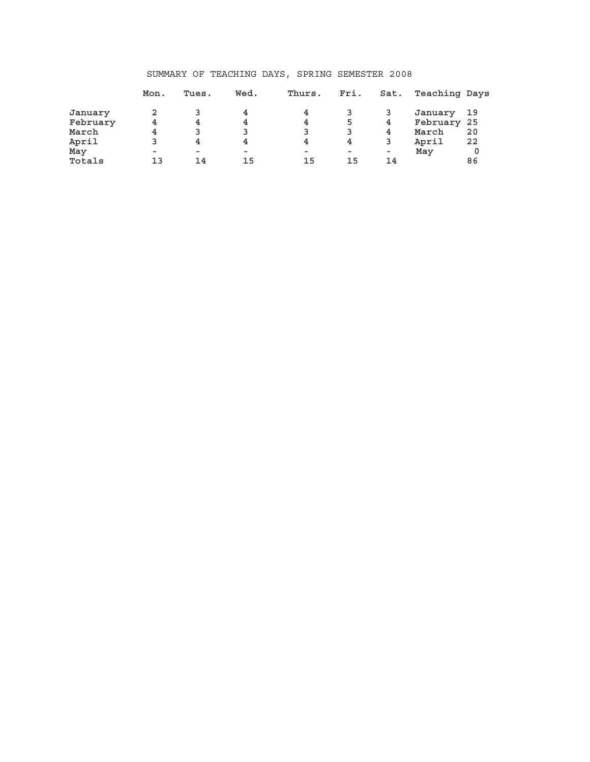## SUMMARY OF TEACHING DAYS, SPRING SEMESTER 2008

|          | Mon.   | Tues.                    | Wed.     | Thurs. | Fri.   | Sat. | Teaching Days |    |
|----------|--------|--------------------------|----------|--------|--------|------|---------------|----|
| January  |        |                          | 4        | 4      |        |      | January       | 19 |
| February | 4      | 4                        | 4        | 4      | 5      | 4    | February 25   |    |
| March    | 4      | 3                        |          | 3      |        | 4    | March         | 20 |
| April    |        | 4                        | 4        | 4      | 4      | 3    | April         | 22 |
| May      | $\sim$ | $\overline{\phantom{a}}$ | $\equiv$ | $\sim$ | $\sim$ | ۰    | May           | 0  |
| Totals   | 13     | 14                       | 15       | 15     | 15     | 14   |               | 86 |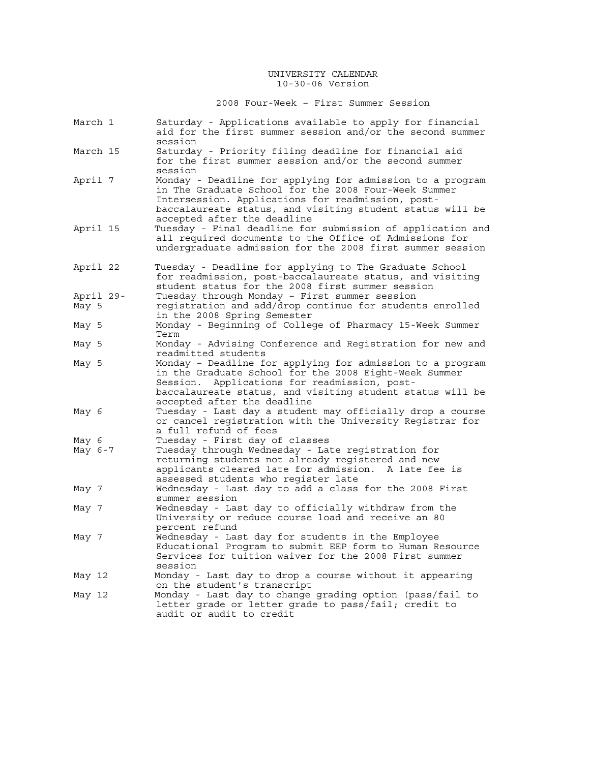2008 Four-Week – First Summer Session

| March 1   | Saturday - Applications available to apply for financial<br>aid for the first summer session and/or the second summer                                                                                                                                             |
|-----------|-------------------------------------------------------------------------------------------------------------------------------------------------------------------------------------------------------------------------------------------------------------------|
| March 15  | session<br>Saturday - Priority filing deadline for financial aid<br>for the first summer session and/or the second summer                                                                                                                                         |
| April 7   | session<br>Monday - Deadline for applying for admission to a program<br>in The Graduate School for the 2008 Four-Week Summer<br>Intersession. Applications for readmission, post-<br>baccalaureate status, and visiting student status will be                    |
| April 15  | accepted after the deadline<br>Tuesday - Final deadline for submission of application and<br>all required documents to the Office of Admissions for<br>undergraduate admission for the 2008 first summer session                                                  |
| April 22  | Tuesday - Deadline for applying to The Graduate School<br>for readmission, post-baccalaureate status, and visiting<br>student status for the 2008 first summer session                                                                                            |
| April 29- | Tuesday through Monday - First summer session                                                                                                                                                                                                                     |
| May 5     | registration and add/drop continue for students enrolled                                                                                                                                                                                                          |
|           | in the 2008 Spring Semester                                                                                                                                                                                                                                       |
| May 5     | Monday - Beginning of College of Pharmacy 15-Week Summer<br>Term                                                                                                                                                                                                  |
| May 5     | Monday - Advising Conference and Registration for new and<br>readmitted students                                                                                                                                                                                  |
| May 5     | Monday - Deadline for applying for admission to a program<br>in the Graduate School for the 2008 Eight-Week Summer<br>Applications for readmission, post-<br>Session.<br>baccalaureate status, and visiting student status will be<br>accepted after the deadline |
| May 6     | Tuesday - Last day a student may officially drop a course<br>or cancel registration with the University Registrar for<br>a full refund of fees                                                                                                                    |
| May 6     | Tuesday - First day of classes                                                                                                                                                                                                                                    |
| May 6-7   | Tuesday through Wednesday - Late registration for                                                                                                                                                                                                                 |
|           | returning students not already registered and new<br>applicants cleared late for admission. A late fee is<br>assessed students who reqister late                                                                                                                  |
| May 7     | Wednesday - Last day to add a class for the 2008 First<br>summer session                                                                                                                                                                                          |
| May 7     | Wednesday - Last day to officially withdraw from the<br>University or reduce course load and receive an 80<br>percent refund                                                                                                                                      |
| May 7     | Wednesday - Last day for students in the Employee<br>Educational Program to submit EEP form to Human Resource<br>Services for tuition waiver for the 2008 First summer<br>session                                                                                 |
| May 12    | Monday - Last day to drop a course without it appearing<br>on the student's transcript                                                                                                                                                                            |
| May 12    | Monday - Last day to change grading option (pass/fail to<br>letter grade or letter grade to pass/fail; credit to<br>audit or audit to credit                                                                                                                      |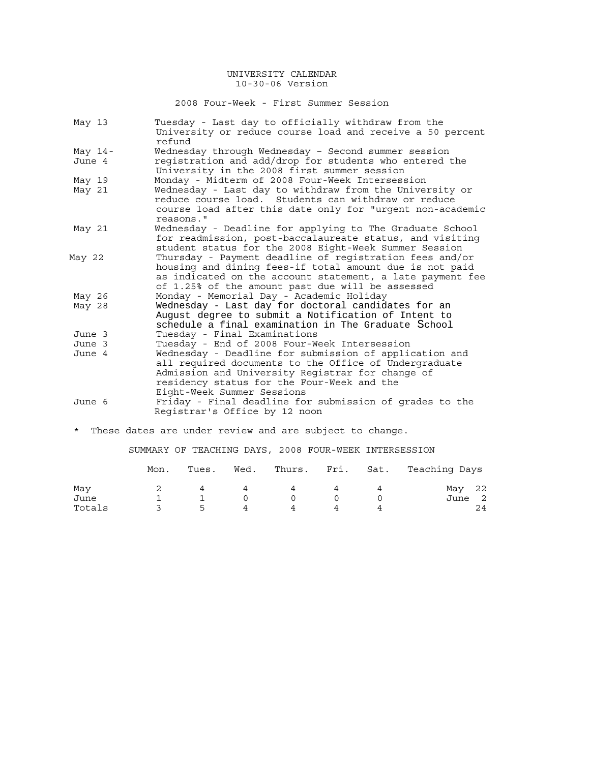2008 Four-Week - First Summer Session

| May 13    | Tuesday - Last day to officially withdraw from the<br>University or reduce course load and receive a 50 percent<br>refund                                                                                                                       |
|-----------|-------------------------------------------------------------------------------------------------------------------------------------------------------------------------------------------------------------------------------------------------|
| May $14-$ | Wednesday through Wednesday - Second summer session                                                                                                                                                                                             |
| June 4    | registration and add/drop for students who entered the<br>University in the 2008 first summer session                                                                                                                                           |
| May 19    | Monday - Midterm of 2008 Four-Week Intersession                                                                                                                                                                                                 |
| May 21    | Wednesday - Last day to withdraw from the University or<br>reduce course load. Students can withdraw or reduce<br>course load after this date only for "urgent non-academic<br>reasons."                                                        |
| May 21    | Wednesday - Deadline for applying to The Graduate School<br>for readmission, post-baccalaureate status, and visiting<br>student status for the 2008 Eight-Week Summer Session                                                                   |
| May 22    | Thursday - Payment deadline of registration fees and/or<br>housing and dining fees-if total amount due is not paid<br>as indicated on the account statement, a late payment fee<br>of 1.25% of the amount past due will be assessed             |
| May 26    | Monday - Memorial Day - Academic Holiday                                                                                                                                                                                                        |
| May 28    | Wednesday - Last day for doctoral candidates for an<br>August degree to submit a Notification of Intent to<br>schedule a final examination in The Graduate School                                                                               |
| June 3    | Tuesday - Final Examinations                                                                                                                                                                                                                    |
| June 3    | Tuesday - End of 2008 Four-Week Intersession                                                                                                                                                                                                    |
| June 4    | Wednesday - Deadline for submission of application and<br>all required documents to the Office of Undergraduate<br>Admission and University Registrar for change of<br>residency status for the Four-Week and the<br>Eight-Week Summer Sessions |
| June 6    | Friday - Final deadline for submission of grades to the<br>Registrar's Office by 12 noon                                                                                                                                                        |

\* These dates are under review and are subject to change.

SUMMARY OF TEACHING DAYS, 2008 FOUR-WEEK INTERSESSION

|        | Mon. | Tues.          | Wed. |          |          | Thurs. Fri. Sat. Teaching Days |
|--------|------|----------------|------|----------|----------|--------------------------------|
| May    |      |                | 4    | $\Delta$ | $\Delta$ | May 22                         |
| June   |      |                |      |          |          | June 2                         |
| Totals |      | $\overline{a}$ | 4    |          |          | 24                             |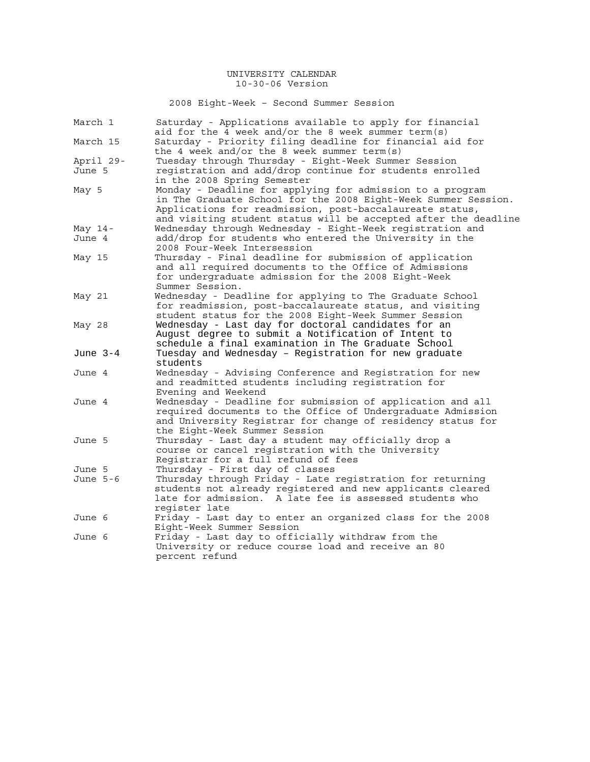2008 Eight-Week – Second Summer Session

| March 1   | Saturday - Applications available to apply for financial<br>aid for the 4 week and/or the 8 week summer term(s)                                                                                                                                            |
|-----------|------------------------------------------------------------------------------------------------------------------------------------------------------------------------------------------------------------------------------------------------------------|
| March 15  | Saturday - Priority filing deadline for financial aid for<br>the 4 week and/or the 8 week summer term(s)                                                                                                                                                   |
| April 29- | Tuesday through Thursday - Eight-Week Summer Session                                                                                                                                                                                                       |
| June 5    | registration and add/drop continue for students enrolled                                                                                                                                                                                                   |
|           | in the 2008 Spring Semester                                                                                                                                                                                                                                |
| May 5     | Monday - Deadline for applying for admission to a program<br>in The Graduate School for the 2008 Eight-Week Summer Session.<br>Applications for readmission, post-baccalaureate status,<br>and visiting student status will be accepted after the deadline |
| May 14-   | Wednesday through Wednesday - Eight-Week registration and                                                                                                                                                                                                  |
| June 4    | add/drop for students who entered the University in the<br>2008 Four-Week Intersession                                                                                                                                                                     |
| May 15    | Thursday - Final deadline for submission of application<br>and all required documents to the Office of Admissions<br>for undergraduate admission for the 2008 Eight-Week<br>Summer Session.                                                                |
| May 21    | Wednesday - Deadline for applying to The Graduate School<br>for readmission, post-baccalaureate status, and visiting<br>student status for the 2008 Eight-Week Summer Session                                                                              |
| May 28    | Wednesday - Last day for doctoral candidates for an<br>August degree to submit a Notification of Intent to<br>schedule a final examination in The Graduate School                                                                                          |
| June 3-4  | Tuesday and Wednesday - Registration for new graduate<br>students                                                                                                                                                                                          |
| June 4    | Wednesday - Advising Conference and Registration for new<br>and readmitted students including registration for<br>Evening and Weekend                                                                                                                      |
| June 4    | Wednesday - Deadline for submission of application and all<br>required documents to the Office of Undergraduate Admission<br>and University Registrar for change of residency status for<br>the Eight-Week Summer Session                                  |
| June 5    | Thursday - Last day a student may officially drop a<br>course or cancel registration with the University<br>Registrar for a full refund of fees                                                                                                            |
| June 5    | Thursday - First day of classes                                                                                                                                                                                                                            |
| June 5-6  | Thursday through Friday - Late registration for returning<br>students not already registered and new applicants cleared<br>late for admission. A late fee is assessed students who<br>register late                                                        |
| June 6    | Friday - Last day to enter an organized class for the 2008<br>Eight-Week Summer Session                                                                                                                                                                    |
| June 6    | Friday - Last day to officially withdraw from the                                                                                                                                                                                                          |
|           | University or reduce course load and receive an 80<br>percent refund                                                                                                                                                                                       |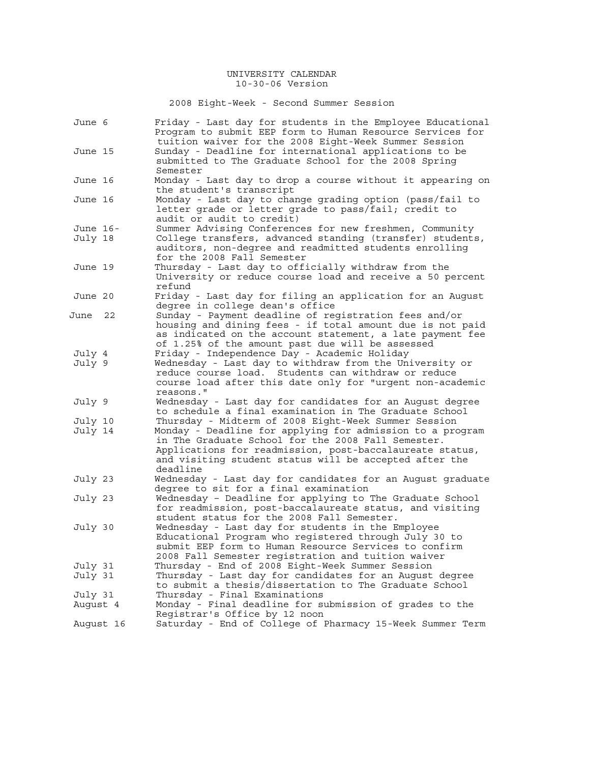2008 Eight-Week - Second Summer Session

| June 6   |           | Friday - Last day for students in the Employee Educational<br>Program to submit EEP form to Human Resource Services for<br>tuition waiver for the 2008 Eight-Week Summer Session                                                                  |
|----------|-----------|---------------------------------------------------------------------------------------------------------------------------------------------------------------------------------------------------------------------------------------------------|
| June 15  |           | Sunday - Deadline for international applications to be<br>submitted to The Graduate School for the 2008 Spring<br>Semester                                                                                                                        |
| June 16  |           | Monday - Last day to drop a course without it appearing on<br>the student's transcript                                                                                                                                                            |
| June 16  |           | Monday - Last day to change grading option (pass/fail to<br>letter grade or letter grade to pass/fail; credit to<br>audit or audit to credit)                                                                                                     |
| June 16- |           | Summer Advising Conferences for new freshmen, Community                                                                                                                                                                                           |
| July 18  |           | College transfers, advanced standing (transfer) students,<br>auditors, non-degree and readmitted students enrolling<br>for the 2008 Fall Semester                                                                                                 |
| June 19  |           | Thursday - Last day to officially withdraw from the<br>University or reduce course load and receive a 50 percent<br>refund                                                                                                                        |
| June 20  |           | Friday - Last day for filing an application for an August<br>degree in college dean's office                                                                                                                                                      |
| June     | 22        | Sunday - Payment deadline of registration fees and/or<br>housing and dining fees - if total amount due is not paid<br>as indicated on the account statement, a late payment fee<br>of 1.25% of the amount past due will be assessed               |
| July 4   |           | Friday - Independence Day - Academic Holiday                                                                                                                                                                                                      |
| July 9   |           | Wednesday - Last day to withdraw from the University or<br>reduce course load. Students can withdraw or reduce<br>course load after this date only for "urgent non-academic<br>reasons."                                                          |
| July 9   |           | Wednesday - Last day for candidates for an August degree<br>to schedule a final examination in The Graduate School                                                                                                                                |
| July 10  |           | Thursday - Midterm of 2008 Eight-Week Summer Session                                                                                                                                                                                              |
| July 14  |           | Monday - Deadline for applying for admission to a program<br>in The Graduate School for the 2008 Fall Semester.<br>Applications for readmission, post-baccalaureate status,<br>and visiting student status will be accepted after the<br>deadline |
| July 23  |           | Wednesday - Last day for candidates for an August graduate<br>degree to sit for a final examination                                                                                                                                               |
| July 23  |           | Wednesday - Deadline for applying to The Graduate School<br>for readmission, post-baccalaureate status, and visiting<br>student status for the 2008 Fall Semester.                                                                                |
| July 30  |           | Wednesday - Last day for students in the Employee<br>Educational Program who registered through July 30 to<br>submit EEP form to Human Resource Services to confirm<br>2008 Fall Semester registration and tuition waiver                         |
| July 31  |           | Thursday - End of 2008 Eight-Week Summer Session                                                                                                                                                                                                  |
| July 31  |           | Thursday - Last day for candidates for an August degree<br>to submit a thesis/dissertation to The Graduate School                                                                                                                                 |
| July 31  |           | Thursday - Final Examinations                                                                                                                                                                                                                     |
| August 4 |           | Monday - Final deadline for submission of grades to the<br>Registrar's Office by 12 noon                                                                                                                                                          |
|          | August 16 | Saturday - End of College of Pharmacy 15-Week Summer Term                                                                                                                                                                                         |